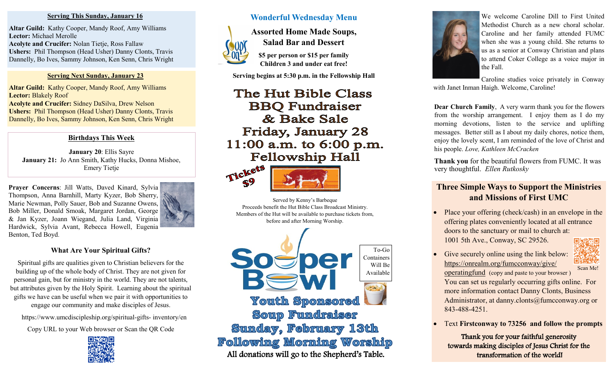#### **Serving This Sunday, January 16**

**Altar Guild:** Kathy Cooper, Mandy Roof, Amy Williams **Lector:** Michael Merolle **Acolyte and Crucifer:** Nolan Tietje, Ross Fallaw **Ushers:** Phil Thompson (Head Usher) Danny Clonts, Travis Dannelly, Bo Ives, Sammy Johnson, Ken Senn, Chris Wright

### **Serving Next Sunday, January 23**

**Altar Guild:** Kathy Cooper, Mandy Roof, Amy Williams **Lector:** Blakely Roof **Acolyte and Crucifer:** Sidney DaSilva, Drew Nelson **Ushers:** Phil Thompson (Head Usher) Danny Clonts, Travis Dannelly, Bo Ives, Sammy Johnson, Ken Senn, Chris Wright

## **Birthdays This Week**

**January 20**: Ellis Sayre **January 21:** Jo Ann Smith, Kathy Hucks, Donna Mishoe, Emery Tietje

**Prayer Concerns**: Jill Watts, Daved Kinard, Sylvia Thompson, Anna Barnhill, Marty Kyzer, Bob Sherry, Marie Newman, Polly Sauer, Bob and Suzanne Owens, Bob Miller, Donald Smoak, Margaret Jordan, George & Jan Kyzer, Joann Wiegand, Julia Land, Virginia Hardwick, Sylvia Avant, Rebecca Howell, Eugenia Benton, Ted Boyd.

## **What Are Your Spiritual Gifts?**

Spiritual gifts are qualities given to Christian believers for the building up of the whole body of Christ. They are not given for personal gain, but for ministry in the world. They are not talents, but attributes given by the Holy Spirit. Learning about the spiritual gifts we have can be useful when we pair it with opportunities to engage our community and make disciples of Jesus.

https://www.umcdiscipleship.org/spiritual-gifts- inventory/en

Copy URL to your Web browser or Scan the QR Code



# **Wonderful Wednesday Menu**

**Assorted Home Made Soups,**



**Salad Bar and Dessert \$5 per person or \$15 per family**

**Children 3 and under eat free!**

**Serving begins at 5:30 p.m. in the Fellowship Hall**

# The Hut Bible Class **BBQ** Fundraiser & Bake Sale Friday, January 28 11:00 a.m. to 6:00 p.m. **Fellowship Hall**





Served by Kenny's Barbeque Proceeds benefit the Hut Bible Class Broadcast Ministry. Members of the Hut will be available to purchase tickets from, before and after Morning Worship.





We welcome Caroline Dill to First United Methodist Church as a new choral scholar. Caroline and her family attended FUMC when she was a young child. She returns to us as a senior at Conway Christian and plans to attend Coker College as a voice major in the Fall.

Caroline studies voice privately in Conway with Janet Inman Haigh. Welcome, Caroline!

**Dear Church Family**, A very warm thank you for the flowers from the worship arrangement. I enjoy them as I do my morning devotions, listen to the service and uplifting messages. Better still as I about my daily chores, notice them, enjoy the lovely scent, I am reminded of the love of Christ and his people. *Love, Kathleen McCracken*

**Thank you** for the beautiful flowers from FUMC. It was very thoughtful. *Ellen Rutkosky*

# **Three Simple Ways to Support the Ministries and Missions of First UMC**

- Place your offering (check/cash) in an envelope in the offering plates conveniently located at all entrance doors to the sanctuary or mail to church at: 1001 5th Ave., Conway, SC 29526.
- Give securely online using the link below: [https://onrealm.org/fumcconway/give/](https://onrealm.org/fumcconway/give/operatingfund) [operatingfund](https://onrealm.org/fumcconway/give/operatingfund) (copy and paste to your browser ) You can set us regularly occurring gifts online. For more information contact Danny Clonts, Business Administrator, at danny.clonts@fumcconway.org or 843-488-4251. Scan Me!
- Text **Firstconway to 73256 and follow the prompts**

Thank you for your faithful generosity towards making disciples of Jesus Christ for the transformation of the world!